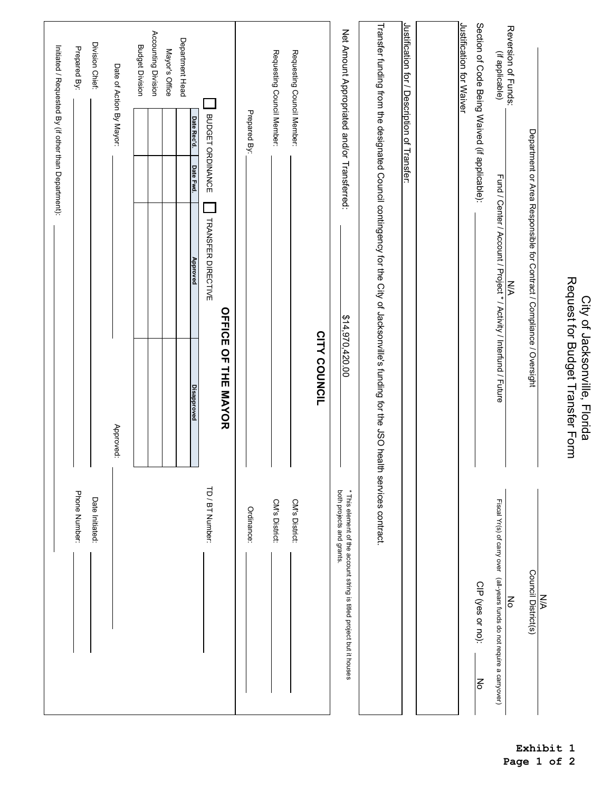|                                                                                                           |                                                                                                                                       |                                                                                   |           |                          | Initiated / Requested By (if other than Department): |
|-----------------------------------------------------------------------------------------------------------|---------------------------------------------------------------------------------------------------------------------------------------|-----------------------------------------------------------------------------------|-----------|--------------------------|------------------------------------------------------|
| Phone Number:                                                                                             |                                                                                                                                       |                                                                                   |           |                          | Prepared By:                                         |
| Date Initiated:                                                                                           |                                                                                                                                       |                                                                                   |           |                          | Division Chief:                                      |
|                                                                                                           | Approved:                                                                                                                             |                                                                                   |           | Date of Action By Mayor: |                                                      |
|                                                                                                           |                                                                                                                                       |                                                                                   |           |                          | <b>Budget Division</b>                               |
|                                                                                                           |                                                                                                                                       |                                                                                   |           |                          | Accounting Division                                  |
|                                                                                                           |                                                                                                                                       |                                                                                   |           |                          | Mayor's Office                                       |
|                                                                                                           | <b>Disapproved</b>                                                                                                                    | <b>Approved</b>                                                                   | Date Fwd. | Date Rec'd.              | Department Head                                      |
| TD / BT Number:                                                                                           |                                                                                                                                       | TRANSFER DIRECTIVE                                                                |           | BUDGET ORDINANCE         |                                                      |
|                                                                                                           | <b>OFFICE OF THE MAYOR</b>                                                                                                            |                                                                                   |           |                          |                                                      |
| Ordinance:                                                                                                |                                                                                                                                       |                                                                                   |           | Prepared By:             |                                                      |
| CM's District:                                                                                            |                                                                                                                                       |                                                                                   |           |                          | Requesting Council Member:                           |
| CM's District:                                                                                            |                                                                                                                                       |                                                                                   |           |                          | Requesting Council Member:                           |
|                                                                                                           | CITY COUNCIL                                                                                                                          |                                                                                   |           |                          |                                                      |
| * This element of the account string is titled project but it houses<br>both projects and grants.         | \$14,970,420.00                                                                                                                       |                                                                                   |           |                          | Net Amount Appropriated and/or Transferred:          |
|                                                                                                           | Transfer funding from the designated Council contingency for the City of Jacksonville's funding for the JSO health services contract. |                                                                                   |           |                          |                                                      |
|                                                                                                           |                                                                                                                                       |                                                                                   |           |                          | Justification for / Description of Transfer:         |
|                                                                                                           |                                                                                                                                       |                                                                                   |           |                          |                                                      |
|                                                                                                           |                                                                                                                                       |                                                                                   |           |                          | Justification for Waiver                             |
| CIP (yes or no):<br>No                                                                                    |                                                                                                                                       |                                                                                   |           |                          | Section of Code Being Waived (if applicable):        |
| Fiscal Yr(s) of carry over (all-years funds do not require a carryover)<br>$\mathop{\mathsf{S}}\nolimits$ |                                                                                                                                       | Fund / Center / Account / Project * / Activity / Interfund / Future<br><b>N/A</b> |           |                          | Reversion of Funds:<br>(if applicable)               |
| Council District(s)                                                                                       |                                                                                                                                       | Department or Area Responsible for Contract / Compliance / Oversight              |           |                          |                                                      |
| $\leq$                                                                                                    |                                                                                                                                       |                                                                                   |           |                          |                                                      |
|                                                                                                           | Request for Budget Transfer Form<br>City of Jacksonville, Florida                                                                     |                                                                                   |           |                          |                                                      |